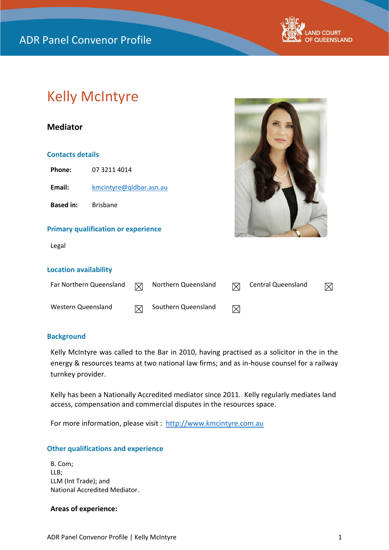

# Kelly McIntyre

# **Mediator**

#### **Contacts details**

**Phone:** 07 3211 4014 Email: [kmcintyre@qldbar.asn.au](mailto:kmcintyre@qldbar.asn.au)

**Based in:** Brisbane

#### **Primary qualification or experience**

Legal



#### **Location availability**

| Far Northern Queensland | 罓 | Northern Queensland | <b>Central Queensland</b> | $\boxtimes$ |
|-------------------------|---|---------------------|---------------------------|-------------|
| Western Queensland      | M | Southern Queensland |                           |             |

#### **Background**

Kelly McIntyre was called to the Bar in 2010, having practised as a solicitor in the in the energy & resources teams at two national law firms; and as in-house counsel for a railway turnkey provider.

Kelly has been a Nationally Accredited mediator since 2011. Kelly regularly mediates land access, compensation and commercial disputes in the resources space.

For more information, please visit : [http://www.kmcintyre.com.au](http://www.kmcintyre.com.au/)

# **Other qualifications and experience**

B. Com; LLB; LLM (Int Trade); and National Accredited Mediator.

#### **Areas of experience:**